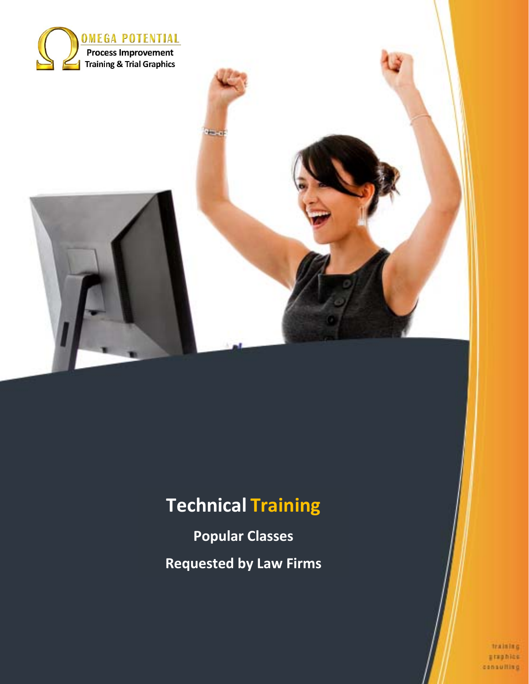

# **Technical Training**

**to a** 

**Popular Classes Requested by Law Firms** 

> training graphics consulting

Page 1 of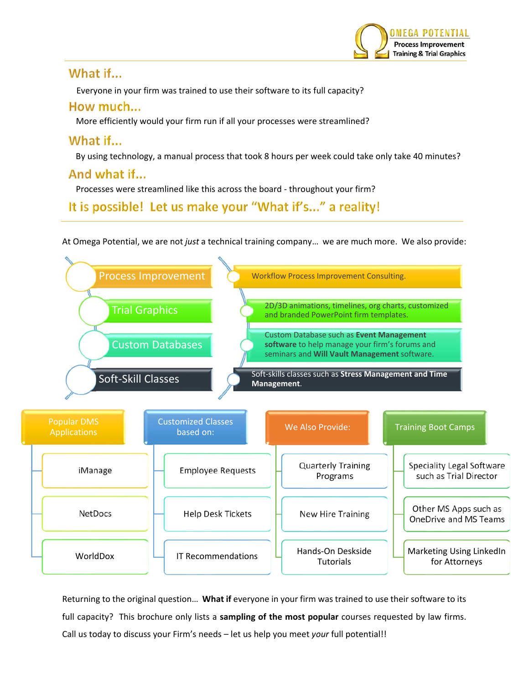

## What if...

Everyone in your firm was trained to use their software to its full capacity?

## How much...

More efficiently would your firm run if all your processes were streamlined?

# What if...

By using technology, a manual process that took 8 hours per week could take only take 40 minutes?

# And what if...

Processes were streamlined like this across the board ‐ throughout your firm?

# It is possible! Let us make your "What if's..." a reality!

At Omega Potential, we are not *just* a technical training company… we are much more. We also provide:



Returning to the original question… **What if** everyone in your firm was trained to use their software to its full capacity? This brochure only lists a **sampling of the most popular** courses requested by law firms. Call us today to discuss your Firm's needs – let us help you meet *your* full potential!!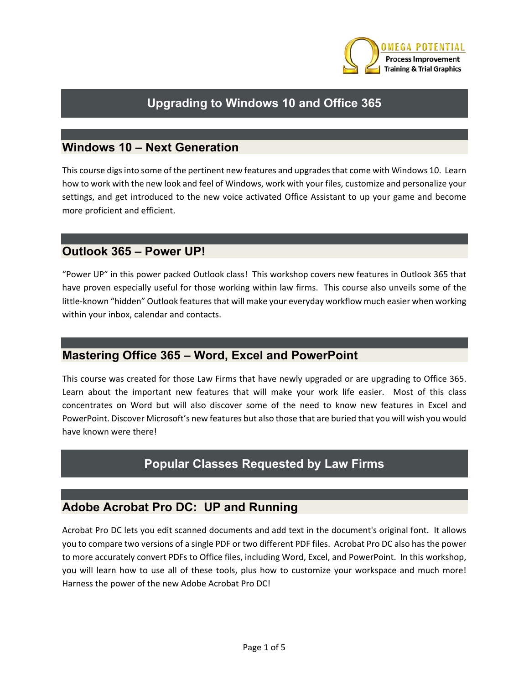

# **Upgrading to Windows 10 and Office 365**

#### **Windows 10 – Next Generation**

This course digs into some of the pertinent new features and upgrades that come with Windows 10. Learn how to work with the new look and feel of Windows, work with your files, customize and personalize your settings, and get introduced to the new voice activated Office Assistant to up your game and become more proficient and efficient.

#### **Outlook 365 – Power UP!**

"Power UP" in this power packed Outlook class! This workshop covers new features in Outlook 365 that have proven especially useful for those working within law firms. This course also unveils some of the little-known "hidden" Outlook features that will make your everyday workflow much easier when working within your inbox, calendar and contacts.

#### **Mastering Office 365 – Word, Excel and PowerPoint**

This course was created for those Law Firms that have newly upgraded or are upgrading to Office 365. Learn about the important new features that will make your work life easier. Most of this class concentrates on Word but will also discover some of the need to know new features in Excel and PowerPoint. Discover Microsoft's new features but also those that are buried that you will wish you would have known were there!

#### **Popular Classes Requested by Law Firms**

#### **Adobe Acrobat Pro DC: UP and Running**

Acrobat Pro DC lets you edit scanned documents and add text in the document's original font. It allows you to compare two versions of a single PDF or two different PDF files. Acrobat Pro DC also has the power to more accurately convert PDFs to Office files, including Word, Excel, and PowerPoint. In this workshop, you will learn how to use all of these tools, plus how to customize your workspace and much more! Harness the power of the new Adobe Acrobat Pro DC!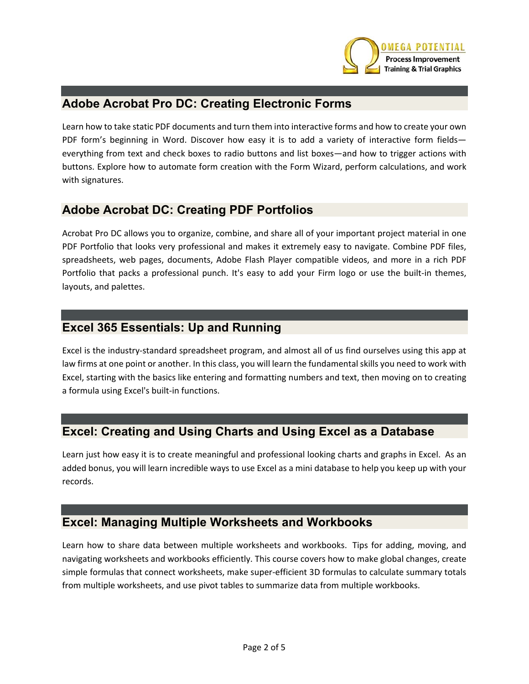

#### **Adobe Acrobat Pro DC: Creating Electronic Forms**

Learn how to take static PDF documents and turn them into interactive forms and how to create your own PDF form's beginning in Word. Discover how easy it is to add a variety of interactive form fields everything from text and check boxes to radio buttons and list boxes—and how to trigger actions with buttons. Explore how to automate form creation with the Form Wizard, perform calculations, and work with signatures.

#### **Adobe Acrobat DC: Creating PDF Portfolios**

Acrobat Pro DC allows you to organize, combine, and share all of your important project material in one PDF Portfolio that looks very professional and makes it extremely easy to navigate. Combine PDF files, spreadsheets, web pages, documents, Adobe Flash Player compatible videos, and more in a rich PDF Portfolio that packs a professional punch. It's easy to add your Firm logo or use the built-in themes, layouts, and palettes.

#### **Excel 365 Essentials: Up and Running**

Excel is the industry‐standard spreadsheet program, and almost all of us find ourselves using this app at law firms at one point or another. In this class, you will learn the fundamental skills you need to work with Excel, starting with the basics like entering and formatting numbers and text, then moving on to creating a formula using Excel's built‐in functions.

#### **Excel: Creating and Using Charts and Using Excel as a Database**

Learn just how easy it is to create meaningful and professional looking charts and graphs in Excel. As an added bonus, you will learn incredible ways to use Excel as a mini database to help you keep up with your records.

#### **Excel: Managing Multiple Worksheets and Workbooks**

Learn how to share data between multiple worksheets and workbooks. Tips for adding, moving, and navigating worksheets and workbooks efficiently. This course covers how to make global changes, create simple formulas that connect worksheets, make super‐efficient 3D formulas to calculate summary totals from multiple worksheets, and use pivot tables to summarize data from multiple workbooks.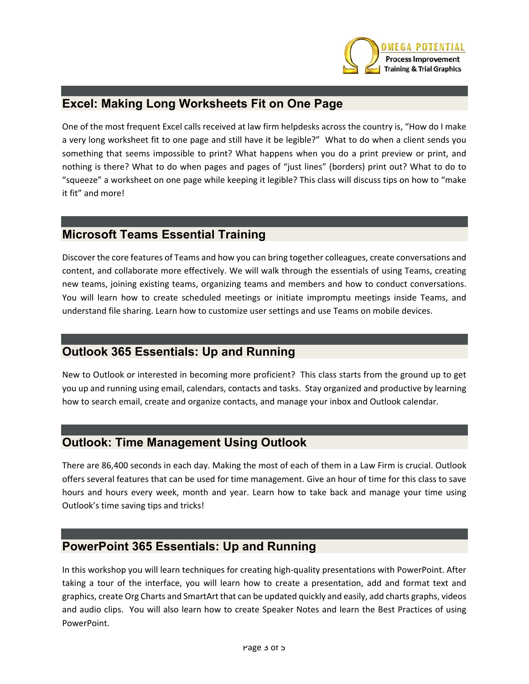

#### **Excel: Making Long Worksheets Fit on One Page**

One of the most frequent Excel calls received at law firm helpdesks across the country is, "How do I make a very long worksheet fit to one page and still have it be legible?" What to do when a client sends you something that seems impossible to print? What happens when you do a print preview or print, and nothing is there? What to do when pages and pages of "just lines" (borders) print out? What to do to "squeeze" a worksheet on one page while keeping it legible? This class will discuss tips on how to "make it fit" and more!

#### **Microsoft Teams Essential Training**

Discover the core features of Teams and how you can bring together colleagues, create conversations and content, and collaborate more effectively. We will walk through the essentials of using Teams, creating new teams, joining existing teams, organizing teams and members and how to conduct conversations. You will learn how to create scheduled meetings or initiate impromptu meetings inside Teams, and understand file sharing. Learn how to customize user settings and use Teams on mobile devices.

#### **Outlook 365 Essentials: Up and Running**

New to Outlook or interested in becoming more proficient? This class starts from the ground up to get you up and running using email, calendars, contacts and tasks. Stay organized and productive by learning how to search email, create and organize contacts, and manage your inbox and Outlook calendar.

#### **Outlook: Time Management Using Outlook**

There are 86,400 seconds in each day. Making the most of each of them in a Law Firm is crucial. Outlook offers several features that can be used for time management. Give an hour of time for this class to save hours and hours every week, month and year. Learn how to take back and manage your time using Outlook's time saving tips and tricks!

#### **PowerPoint 365 Essentials: Up and Running**

In this workshop you will learn techniques for creating high‐quality presentations with PowerPoint. After taking a tour of the interface, you will learn how to create a presentation, add and format text and graphics, create Org Charts and SmartArt that can be updated quickly and easily, add charts graphs, videos and audio clips. You will also learn how to create Speaker Notes and learn the Best Practices of using PowerPoint.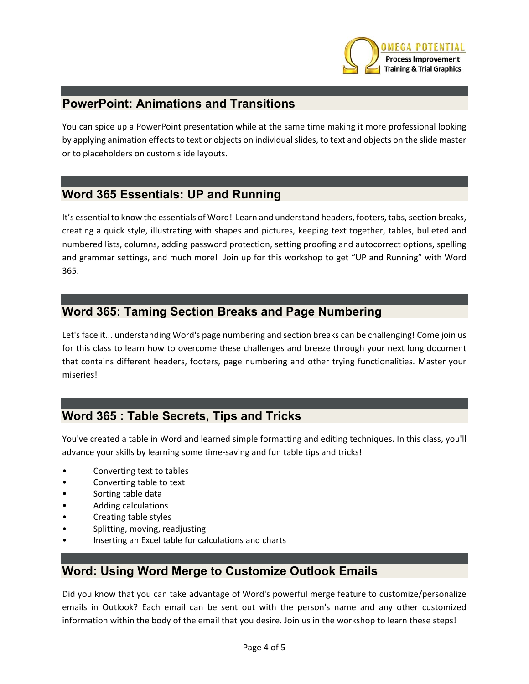

#### **PowerPoint: Animations and Transitions**

You can spice up a PowerPoint presentation while at the same time making it more professional looking by applying animation effects to text or objects on individual slides, to text and objects on the slide master or to placeholders on custom slide layouts.

#### **Word 365 Essentials: UP and Running**

It's essential to know the essentials of Word! Learn and understand headers, footers, tabs, section breaks, creating a quick style, illustrating with shapes and pictures, keeping text together, tables, bulleted and numbered lists, columns, adding password protection, setting proofing and autocorrect options, spelling and grammar settings, and much more! Join up for this workshop to get "UP and Running" with Word 365.

#### **Word 365: Taming Section Breaks and Page Numbering**

Let's face it... understanding Word's page numbering and section breaks can be challenging! Come join us for this class to learn how to overcome these challenges and breeze through your next long document that contains different headers, footers, page numbering and other trying functionalities. Master your miseries!

#### **Word 365 : Table Secrets, Tips and Tricks**

You've created a table in Word and learned simple formatting and editing techniques. In this class, you'll advance your skills by learning some time‐saving and fun table tips and tricks!

- Converting text to tables
- Converting table to text
- Sorting table data
- Adding calculations
- Creating table styles
- Splitting, moving, readjusting
- Inserting an Excel table for calculations and charts

#### **Word: Using Word Merge to Customize Outlook Emails**

Did you know that you can take advantage of Word's powerful merge feature to customize/personalize emails in Outlook? Each email can be sent out with the person's name and any other customized information within the body of the email that you desire. Join us in the workshop to learn these steps!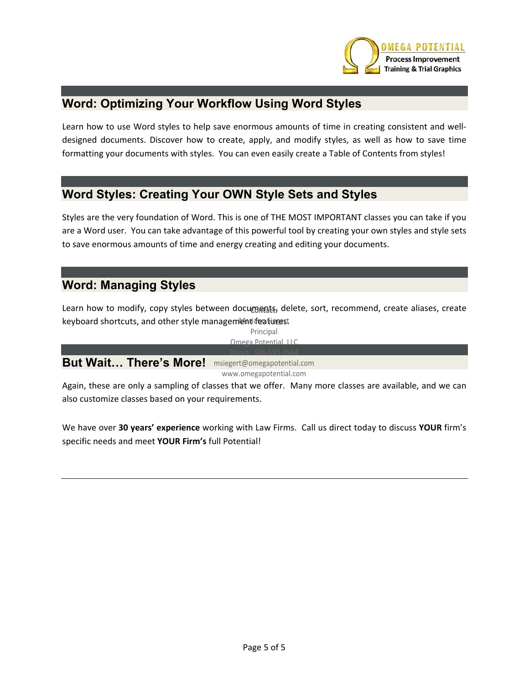

#### **Word: Optimizing Your Workflow Using Word Styles**

Learn how to use Word styles to help save enormous amounts of time in creating consistent and welldesigned documents. Discover how to create, apply, and modify styles, as well as how to save time formatting your documents with styles. You can even easily create a Table of Contents from styles!

#### **Word Styles: Creating Your OWN Style Sets and Styles**

Styles are the very foundation of Word. This is one of THE MOST IMPORTANT classes you can take if you are a Word user. You can take advantage of this powerful tool by creating your own styles and style sets to save enormous amounts of time and energy creating and editing your documents.

#### **Word: Managing Styles**

Learn how to modify, copy styles between documents, delete, sort, recommend, create aliases, create keyboard shortcuts, and other style management featurest

> Principal Omega Potential, LLC

#### **But Wait… There's More!**  Direct: 936‐689‐3564 msiegert@omegapotential.com www.omegapotential.com

Again, these are only a sampling of classes that we offer. Many more classes are available, and we can also customize classes based on your requirements.

We have over **30 years' experience** working with Law Firms. Call us direct today to discuss **YOUR** firm's specific needs and meet **YOUR Firm's** full Potential!